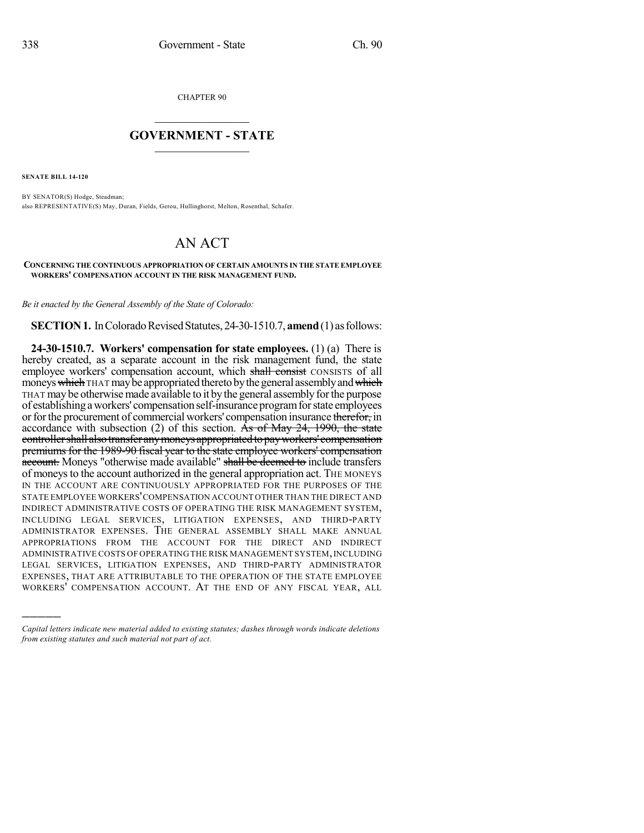CHAPTER 90

## $\mathcal{L}_\text{max}$  . The set of the set of the set of the set of the set of the set of the set of the set of the set of the set of the set of the set of the set of the set of the set of the set of the set of the set of the set **GOVERNMENT - STATE**  $\_$   $\_$

**SENATE BILL 14-120**

)))))

BY SENATOR(S) Hodge, Steadman; also REPRESENTATIVE(S) May, Duran, Fields, Gerou, Hullinghorst, Melton, Rosenthal, Schafer.

## AN ACT

## **CONCERNING THE CONTINUOUS APPROPRIATION OF CERTAIN AMOUNTS IN THE STATE EMPLOYEE WORKERS' COMPENSATION ACCOUNT IN THE RISK MANAGEMENT FUND.**

*Be it enacted by the General Assembly of the State of Colorado:*

**SECTION 1.** In Colorado Revised Statutes, 24-30-1510.7, **amend** (1) as follows:

**24-30-1510.7. Workers' compensation for state employees.** (1) (a) There is hereby created, as a separate account in the risk management fund, the state employee workers' compensation account, which shall consist CONSISTS of all moneys which THAT may be appropriated thereto by the general assembly and which THAT may be otherwise made available to it by the general assembly for the purpose of establishing aworkers' compensationself-insuranceprogramforstate employees or for the procurement of commercial workers' compensation insurance therefor, in accordance with subsection (2) of this section. As of May 24, 1990, the state controller shall also transfer any moneys appropriated to pay workers' compensation premiums for the 1989-90 fiscal year to the state employee workers' compensation account. Moneys "otherwise made available" shall be deemed to include transfers of moneysto the account authorized in the general appropriation act. THE MONEYS IN THE ACCOUNT ARE CONTINUOUSLY APPROPRIATED FOR THE PURPOSES OF THE STATE EMPLOYEE WORKERS'COMPENSATION ACCOUNT OTHER THAN THE DIRECT AND INDIRECT ADMINISTRATIVE COSTS OF OPERATING THE RISK MANAGEMENT SYSTEM, INCLUDING LEGAL SERVICES, LITIGATION EXPENSES, AND THIRD-PARTY ADMINISTRATOR EXPENSES. THE GENERAL ASSEMBLY SHALL MAKE ANNUAL APPROPRIATIONS FROM THE ACCOUNT FOR THE DIRECT AND INDIRECT ADMINISTRATIVE COSTS OF OPERATING THE RISK MANAGEMENT SYSTEM,INCLUDING LEGAL SERVICES, LITIGATION EXPENSES, AND THIRD-PARTY ADMINISTRATOR EXPENSES, THAT ARE ATTRIBUTABLE TO THE OPERATION OF THE STATE EMPLOYEE WORKERS' COMPENSATION ACCOUNT. AT THE END OF ANY FISCAL YEAR, ALL

*Capital letters indicate new material added to existing statutes; dashes through words indicate deletions from existing statutes and such material not part of act.*